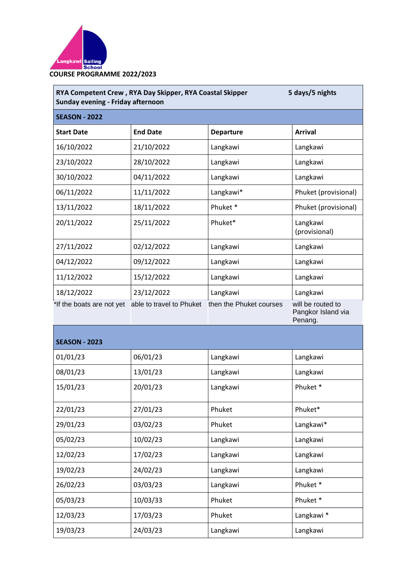

|                           | RYA Competent Crew, RYA Day Skipper, RYA Coastal Skipper<br>Sunday evening - Friday afternoon |                         |                                                    |  |  |  |
|---------------------------|-----------------------------------------------------------------------------------------------|-------------------------|----------------------------------------------------|--|--|--|
| <b>SEASON - 2022</b>      |                                                                                               |                         |                                                    |  |  |  |
| <b>Start Date</b>         | <b>End Date</b>                                                                               | <b>Departure</b>        | <b>Arrival</b>                                     |  |  |  |
| 16/10/2022                | 21/10/2022                                                                                    | Langkawi                | Langkawi                                           |  |  |  |
| 23/10/2022                | 28/10/2022                                                                                    | Langkawi                | Langkawi                                           |  |  |  |
| 30/10/2022                | 04/11/2022                                                                                    | Langkawi                | Langkawi                                           |  |  |  |
| 06/11/2022                | 11/11/2022                                                                                    | Langkawi*               | Phuket (provisional)                               |  |  |  |
| 13/11/2022                | 18/11/2022                                                                                    | Phuket <sup>*</sup>     | Phuket (provisional)                               |  |  |  |
| 20/11/2022                | 25/11/2022                                                                                    | Phuket*                 | Langkawi<br>(provisional)                          |  |  |  |
| 27/11/2022                | 02/12/2022                                                                                    | Langkawi                | Langkawi                                           |  |  |  |
| 04/12/2022                | 09/12/2022                                                                                    | Langkawi                | Langkawi                                           |  |  |  |
| 11/12/2022                | 15/12/2022                                                                                    | Langkawi                | Langkawi                                           |  |  |  |
| 18/12/2022                | 23/12/2022                                                                                    | Langkawi                | Langkawi                                           |  |  |  |
| *If the boats are not yet | able to travel to Phuket                                                                      | then the Phuket courses | will be routed to<br>Pangkor Island via<br>Penang. |  |  |  |

| <b>SEASON - 2023</b> |          |          |           |  |  |
|----------------------|----------|----------|-----------|--|--|
| 01/01/23             | 06/01/23 | Langkawi | Langkawi  |  |  |
| 08/01/23             | 13/01/23 | Langkawi | Langkawi  |  |  |
| 15/01/23             | 20/01/23 | Langkawi | Phuket*   |  |  |
| 22/01/23             | 27/01/23 | Phuket   | Phuket*   |  |  |
| 29/01/23             | 03/02/23 | Phuket   | Langkawi* |  |  |
| 05/02/23             | 10/02/23 | Langkawi | Langkawi  |  |  |
| 12/02/23             | 17/02/23 | Langkawi | Langkawi  |  |  |
| 19/02/23             | 24/02/23 | Langkawi | Langkawi  |  |  |
| 26/02/23             | 03/03/23 | Langkawi | Phuket*   |  |  |
| 05/03/23             | 10/03/33 | Phuket   | Phuket*   |  |  |
| 12/03/23             | 17/03/23 | Phuket   | Langkawi* |  |  |
| 19/03/23             | 24/03/23 | Langkawi | Langkawi  |  |  |